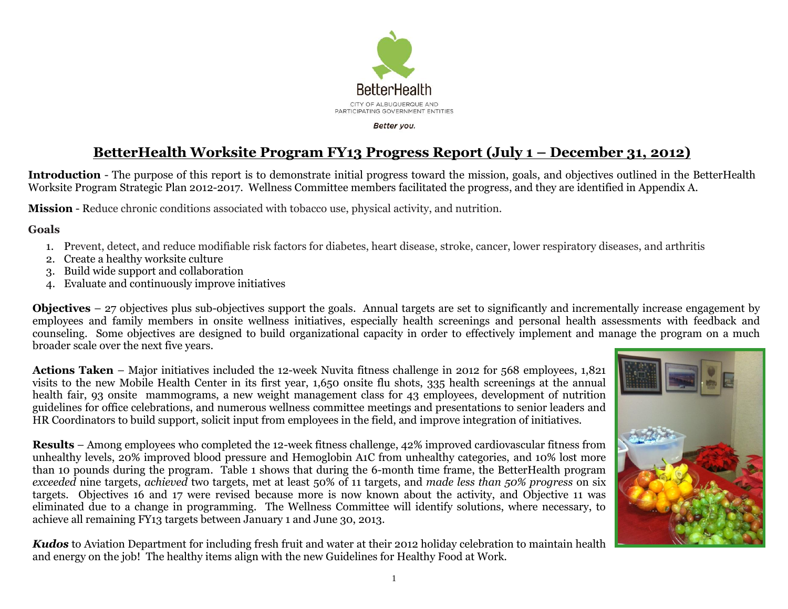

## **BetterHealth Worksite Program FY13 Progress Report (July 1 – December 31, 2012)**

**Introduction** - The purpose of this report is to demonstrate initial progress toward the mission, goals, and objectives outlined in the BetterHealth Worksite Program Strategic Plan 2012-2017. Wellness Committee members facilitated the progress, and they are identified in Appendix A.

**Mission** - Reduce chronic conditions associated with tobacco use, physical activity, and nutrition.

**Goals** 

- 1. Prevent, detect, and reduce modifiable risk factors for diabetes, heart disease, stroke, cancer, lower respiratory diseases, and arthritis
- 2. Create a healthy worksite culture
- 3. Build wide support and collaboration
- 4. Evaluate and continuously improve initiatives

**Objectives** – 27 objectives plus sub-objectives support the goals. Annual targets are set to significantly and incrementally increase engagement by employees and family members in onsite wellness initiatives, especially health screenings and personal health assessments with feedback and counseling. Some objectives are designed to build organizational capacity in order to effectively implement and manage the program on a much broader scale over the next five years.

**Actions Taken** – Major initiatives included the 12-week Nuvita fitness challenge in 2012 for 568 employees, 1,821 visits to the new Mobile Health Center in its first year, 1,650 onsite flu shots, 335 health screenings at the annual health fair, 93 onsite mammograms, a new weight management class for 43 employees, development of nutrition guidelines for office celebrations, and numerous wellness committee meetings and presentations to senior leaders and HR Coordinators to build support, solicit input from employees in the field, and improve integration of initiatives.

**Results** – Among employees who completed the 12-week fitness challenge, 42% improved cardiovascular fitness from unhealthy levels, 20% improved blood pressure and Hemoglobin A1C from unhealthy categories, and 10% lost more than 10 pounds during the program. Table 1 shows that during the 6-month time frame, the BetterHealth program *exceeded* nine targets, *achieved* two targets, met at least 50% of 11 targets, and *made less than 50% progress* on six targets. Objectives 16 and 17 were revised because more is now known about the activity, and Objective 11 was eliminated due to a change in programming. The Wellness Committee will identify solutions, where necessary, to achieve all remaining FY13 targets between January 1 and June 30, 2013.

*Kudos* to Aviation Department for including fresh fruit and water at their 2012 holiday celebration to maintain health and energy on the job! The healthy items align with the new Guidelines for Healthy Food at Work.

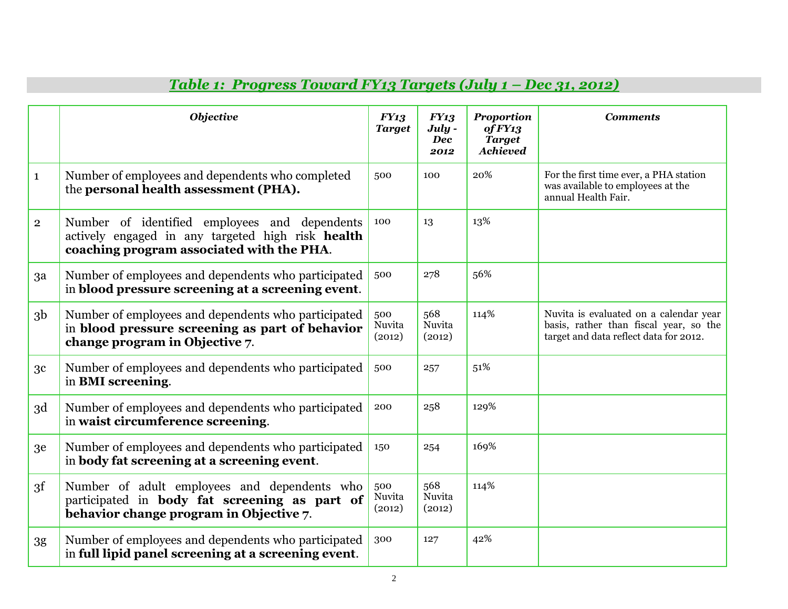|                         | <b>Objective</b>                                                                                                                                | FY13<br><b>Target</b>   | <b>FY13</b><br>July -<br><b>Dec</b><br>2012 | <b>Proportion</b><br>of FY13<br><b>Target</b><br><b>Achieved</b> | <b>Comments</b>                                                                                                            |
|-------------------------|-------------------------------------------------------------------------------------------------------------------------------------------------|-------------------------|---------------------------------------------|------------------------------------------------------------------|----------------------------------------------------------------------------------------------------------------------------|
| $\mathbf{1}$            | Number of employees and dependents who completed<br>the personal health assessment (PHA).                                                       | 500                     | 100                                         | 20%                                                              | For the first time ever, a PHA station<br>was available to employees at the<br>annual Health Fair.                         |
| $\overline{\mathbf{2}}$ | Number of identified employees and dependents<br>actively engaged in any targeted high risk health<br>coaching program associated with the PHA. | 100                     | 13                                          | 13%                                                              |                                                                                                                            |
| 3a                      | Number of employees and dependents who participated<br>in blood pressure screening at a screening event.                                        | 500                     | 278                                         | 56%                                                              |                                                                                                                            |
| 3 <sub>b</sub>          | Number of employees and dependents who participated<br>in blood pressure screening as part of behavior<br>change program in Objective 7.        | 500<br>Nuvita<br>(2012) | 568<br>Nuvita<br>(2012)                     | 114%                                                             | Nuvita is evaluated on a calendar year<br>basis, rather than fiscal year, so the<br>target and data reflect data for 2012. |
| 3 <sub>c</sub>          | Number of employees and dependents who participated<br>in BMI screening.                                                                        | 500                     | 257                                         | 51%                                                              |                                                                                                                            |
| 3d                      | Number of employees and dependents who participated<br>in waist circumference screening.                                                        | 200                     | 258                                         | 129%                                                             |                                                                                                                            |
| 3e                      | Number of employees and dependents who participated<br>in body fat screening at a screening event.                                              | 150                     | 254                                         | 169%                                                             |                                                                                                                            |
| 3f                      | Number of adult employees and dependents who<br>participated in body fat screening as part of<br>behavior change program in Objective 7.        | 500<br>Nuvita<br>(2012) | 568<br>Nuvita<br>(2012)                     | 114%                                                             |                                                                                                                            |
| 3g                      | Number of employees and dependents who participated<br>in full lipid panel screening at a screening event.                                      | 300                     | 127                                         | 42%                                                              |                                                                                                                            |

## *Table 1: Progress Toward FY13 Targets (July 1 – Dec 31, 2012)*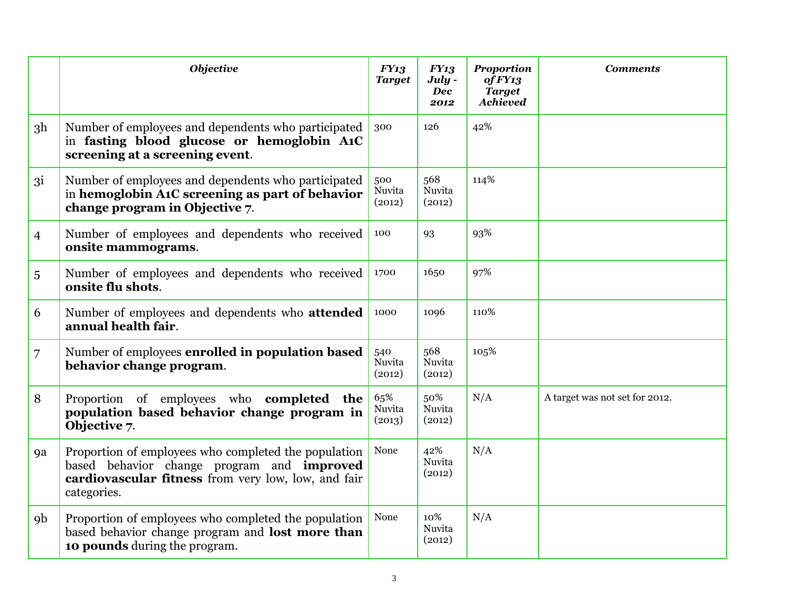|                | <b>Objective</b>                                                                                                                                                         | FY13<br><b>Target</b>   | <b>FY13</b><br>July -<br><b>Dec</b><br>2012 | <b>Proportion</b><br>of FY13<br><b>Target</b><br><b>Achieved</b> | <b>Comments</b>                |
|----------------|--------------------------------------------------------------------------------------------------------------------------------------------------------------------------|-------------------------|---------------------------------------------|------------------------------------------------------------------|--------------------------------|
| 3 <sup>h</sup> | Number of employees and dependents who participated<br>in fasting blood glucose or hemoglobin A1C<br>screening at a screening event.                                     | 300                     | 126                                         | 42%                                                              |                                |
| 3i             | Number of employees and dependents who participated<br>in hemoglobin A1C screening as part of behavior<br>change program in Objective 7.                                 | 500<br>Nuvita<br>(2012) | 568<br>Nuvita<br>(2012)                     | 114%                                                             |                                |
| $\overline{4}$ | Number of employees and dependents who received<br>onsite mammograms.                                                                                                    | 100                     | 93                                          | 93%                                                              |                                |
| 5              | Number of employees and dependents who received<br>onsite flu shots.                                                                                                     | 1700                    | 1650                                        | 97%                                                              |                                |
| 6              | Number of employees and dependents who attended<br>annual health fair.                                                                                                   | 1000                    | 1096                                        | 110%                                                             |                                |
| 7              | Number of employees enrolled in population based<br>behavior change program.                                                                                             | 540<br>Nuvita<br>(2012) | 568<br>Nuvita<br>(2012)                     | 105%                                                             |                                |
| 8              | Proportion of employees who <b>completed the</b><br>population based behavior change program in<br>Objective 7.                                                          | 65%<br>Nuvita<br>(2013) | 50%<br>Nuvita<br>(2012)                     | N/A                                                              | A target was not set for 2012. |
| 9a             | Proportion of employees who completed the population<br>based behavior change program and improved<br>cardiovascular fitness from very low, low, and fair<br>categories. | None                    | 42%<br>Nuvita<br>(2012)                     | N/A                                                              |                                |
| 9 <sub>b</sub> | Proportion of employees who completed the population<br>based behavior change program and lost more than<br>10 pounds during the program.                                | None                    | 10%<br>Nuvita<br>(2012)                     | N/A                                                              |                                |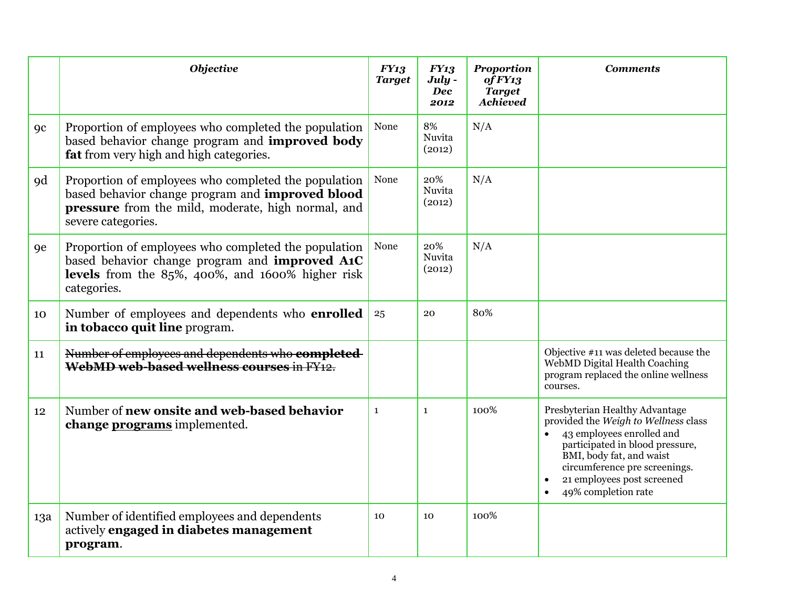|                | <b>Objective</b>                                                                                                                                                                     | FY13<br><b>Target</b> | <b>FY13</b><br>July -<br><b>Dec</b><br>2012 | <b>Proportion</b><br>of FY13<br><b>Target</b><br><b>Achieved</b> | <b>Comments</b>                                                                                                                                                                                                                                                       |
|----------------|--------------------------------------------------------------------------------------------------------------------------------------------------------------------------------------|-----------------------|---------------------------------------------|------------------------------------------------------------------|-----------------------------------------------------------------------------------------------------------------------------------------------------------------------------------------------------------------------------------------------------------------------|
| <sub>9c</sub>  | Proportion of employees who completed the population<br>based behavior change program and improved body<br>fat from very high and high categories.                                   | None                  | 8%<br>Nuvita<br>(2012)                      | N/A                                                              |                                                                                                                                                                                                                                                                       |
| <sub>9</sub> d | Proportion of employees who completed the population<br>based behavior change program and improved blood<br>pressure from the mild, moderate, high normal, and<br>severe categories. | None                  | 20%<br>Nuvita<br>(2012)                     | N/A                                                              |                                                                                                                                                                                                                                                                       |
| <b>9e</b>      | Proportion of employees who completed the population<br>based behavior change program and <b>improved A1C</b><br>levels from the 85%, 400%, and 1600% higher risk<br>categories.     | None                  | 20%<br>Nuvita<br>(2012)                     | N/A                                                              |                                                                                                                                                                                                                                                                       |
| 10             | Number of employees and dependents who <b>enrolled</b><br>in tobacco quit line program.                                                                                              | 25                    | 20                                          | 80%                                                              |                                                                                                                                                                                                                                                                       |
| 11             | Number of employees and dependents who completed<br>WebMD web-based wellness courses in FY <sub>12</sub> .                                                                           |                       |                                             |                                                                  | Objective #11 was deleted because the<br>WebMD Digital Health Coaching<br>program replaced the online wellness<br>courses.                                                                                                                                            |
| 12             | Number of new onsite and web-based behavior<br>change programs implemented.                                                                                                          | $\mathbf{1}$          | $\mathbf{1}$                                | 100%                                                             | Presbyterian Healthy Advantage<br>provided the Weigh to Wellness class<br>43 employees enrolled and<br>$\bullet$<br>participated in blood pressure,<br>BMI, body fat, and waist<br>circumference pre screenings.<br>21 employees post screened<br>49% completion rate |
| 13a            | Number of identified employees and dependents<br>actively engaged in diabetes management<br>program.                                                                                 | 10                    | 10                                          | 100%                                                             |                                                                                                                                                                                                                                                                       |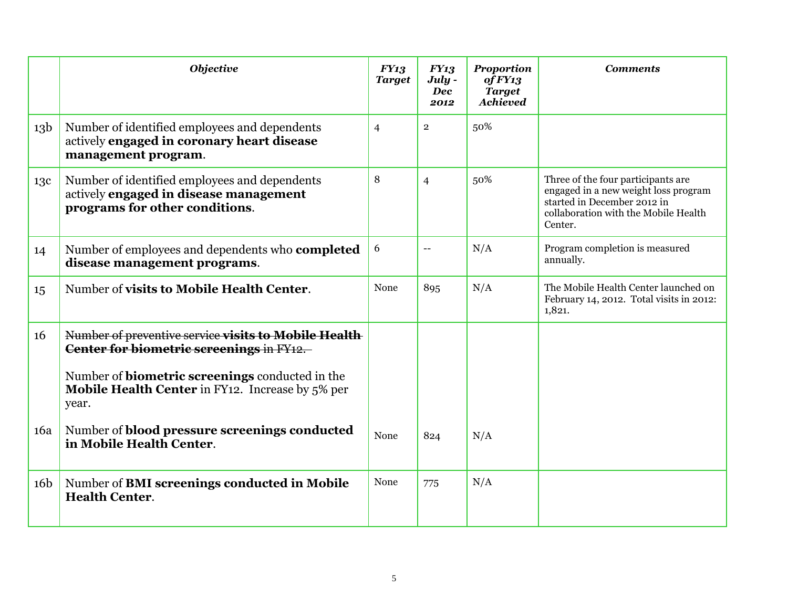|                 | <b>Objective</b>                                                                                                          | FY13<br><b>Target</b> | <b>FY13</b><br>July -<br><b>Dec</b><br>2012 | <b>Proportion</b><br>of FY13<br><b>Target</b><br><b>Achieved</b> | <b>Comments</b>                                                                                                                                              |
|-----------------|---------------------------------------------------------------------------------------------------------------------------|-----------------------|---------------------------------------------|------------------------------------------------------------------|--------------------------------------------------------------------------------------------------------------------------------------------------------------|
| 13 <sub>b</sub> | Number of identified employees and dependents<br>actively engaged in coronary heart disease<br>management program.        | $\overline{4}$        | $\overline{2}$                              | 50%                                                              |                                                                                                                                                              |
| 13c             | Number of identified employees and dependents<br>actively engaged in disease management<br>programs for other conditions. | 8                     | $\overline{4}$                              | 50%                                                              | Three of the four participants are<br>engaged in a new weight loss program<br>started in December 2012 in<br>collaboration with the Mobile Health<br>Center. |
| 14              | Number of employees and dependents who <b>completed</b><br>disease management programs.                                   | 6                     | $\rightarrow$                               | N/A                                                              | Program completion is measured<br>annually.                                                                                                                  |
| 15              | Number of visits to Mobile Health Center.                                                                                 | None                  | 895                                         | N/A                                                              | The Mobile Health Center launched on<br>February 14, 2012. Total visits in 2012:<br>1,821.                                                                   |
| 16              | Number of preventive service visits to Mobile Health<br>Center for biometric screenings in FY12.                          |                       |                                             |                                                                  |                                                                                                                                                              |
|                 | Number of <b>biometric screenings</b> conducted in the<br>Mobile Health Center in FY12. Increase by 5% per<br>year.       |                       |                                             |                                                                  |                                                                                                                                                              |
| 16a             | Number of blood pressure screenings conducted<br>in Mobile Health Center.                                                 | None                  | 824                                         | N/A                                                              |                                                                                                                                                              |
| 16 <sub>b</sub> | Number of BMI screenings conducted in Mobile<br><b>Health Center.</b>                                                     | None                  | 775                                         | N/A                                                              |                                                                                                                                                              |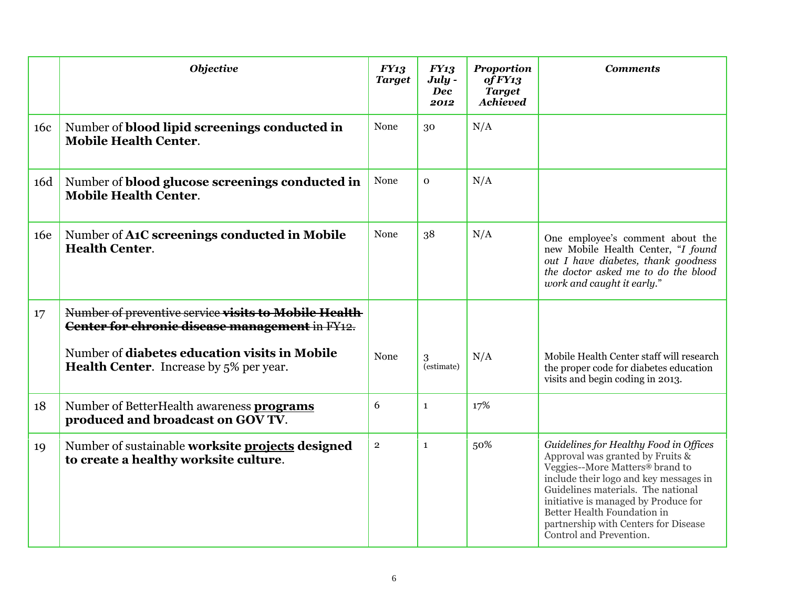|     | <b>Objective</b>                                                                                       | FY13<br><b>Target</b> | <b>FY13</b><br>July -<br><b>Dec</b><br>2012 | <b>Proportion</b><br>of FY13<br><b>Target</b><br><b>Achieved</b> | <b>Comments</b>                                                                                                                                                                                                                                                                                                                         |
|-----|--------------------------------------------------------------------------------------------------------|-----------------------|---------------------------------------------|------------------------------------------------------------------|-----------------------------------------------------------------------------------------------------------------------------------------------------------------------------------------------------------------------------------------------------------------------------------------------------------------------------------------|
| 16c | Number of <b>blood lipid screenings conducted in</b><br><b>Mobile Health Center.</b>                   | None                  | 30                                          | N/A                                                              |                                                                                                                                                                                                                                                                                                                                         |
| 16d | Number of blood glucose screenings conducted in<br><b>Mobile Health Center.</b>                        | None                  | $\mathbf 0$                                 | N/A                                                              |                                                                                                                                                                                                                                                                                                                                         |
| 16e | Number of A1C screenings conducted in Mobile<br><b>Health Center.</b>                                  | None                  | 38                                          | N/A                                                              | One employee's comment about the<br>new Mobile Health Center, "I found<br>out I have diabetes, thank goodness<br>the doctor asked me to do the blood<br>work and caught it early."                                                                                                                                                      |
| 17  | Number of preventive service visits to Mobile Health<br>Center for chronic disease management in FY12. |                       |                                             |                                                                  |                                                                                                                                                                                                                                                                                                                                         |
|     | Number of diabetes education visits in Mobile<br><b>Health Center.</b> Increase by 5% per year.        | None                  | 3<br>(estimate)                             | N/A                                                              | Mobile Health Center staff will research<br>the proper code for diabetes education<br>visits and begin coding in 2013.                                                                                                                                                                                                                  |
| 18  | Number of BetterHealth awareness <b>programs</b><br>produced and broadcast on GOV TV.                  | 6                     | $\mathbf{1}$                                | 17%                                                              |                                                                                                                                                                                                                                                                                                                                         |
| 19  | Number of sustainable worksite projects designed<br>to create a healthy worksite culture.              | $\overline{2}$        | 1                                           | 50%                                                              | Guidelines for Healthy Food in Offices<br>Approval was granted by Fruits &<br>Veggies--More Matters® brand to<br>include their logo and key messages in<br>Guidelines materials. The national<br>initiative is managed by Produce for<br>Better Health Foundation in<br>partnership with Centers for Disease<br>Control and Prevention. |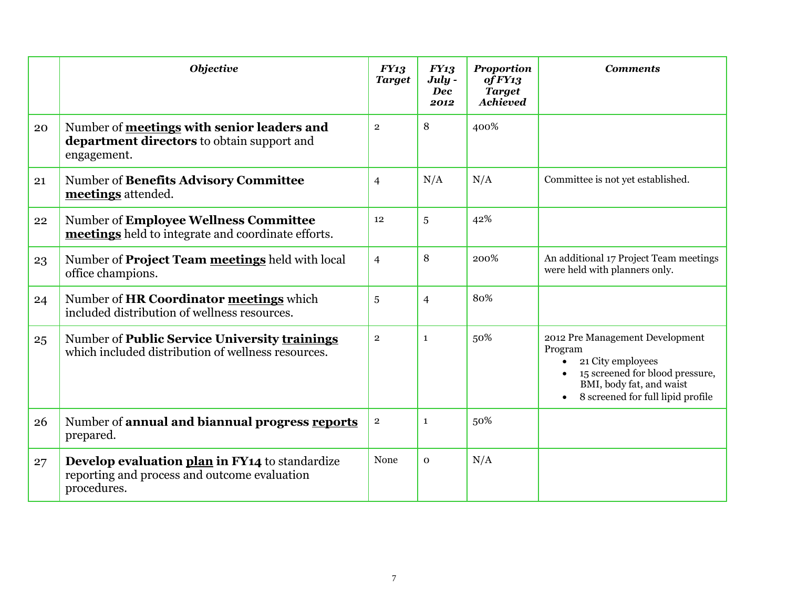|    | <b>Objective</b>                                                                                              | FY13<br><b>Target</b> | <b>FY13</b><br>July -<br><b>Dec</b><br>2012 | <b>Proportion</b><br>of FY13<br><b>Target</b><br><b>Achieved</b> | <b>Comments</b>                                                                                                                                                                  |
|----|---------------------------------------------------------------------------------------------------------------|-----------------------|---------------------------------------------|------------------------------------------------------------------|----------------------------------------------------------------------------------------------------------------------------------------------------------------------------------|
| 20 | Number of meetings with senior leaders and<br>department directors to obtain support and<br>engagement.       | $\overline{2}$        | 8                                           | 400%                                                             |                                                                                                                                                                                  |
| 21 | Number of Benefits Advisory Committee<br>meetings attended.                                                   | $\overline{4}$        | N/A                                         | N/A                                                              | Committee is not yet established.                                                                                                                                                |
| 22 | Number of Employee Wellness Committee<br>meetings held to integrate and coordinate efforts.                   | 12                    | 5                                           | 42%                                                              |                                                                                                                                                                                  |
| 23 | Number of <b>Project Team meetings</b> held with local<br>office champions.                                   | $\overline{4}$        | 8                                           | 200%                                                             | An additional 17 Project Team meetings<br>were held with planners only.                                                                                                          |
| 24 | Number of HR Coordinator meetings which<br>included distribution of wellness resources.                       | 5                     | $\overline{4}$                              | 80%                                                              |                                                                                                                                                                                  |
| 25 | Number of Public Service University trainings<br>which included distribution of wellness resources.           | $\overline{2}$        | $\mathbf{1}$                                | 50%                                                              | 2012 Pre Management Development<br>Program<br>21 City employees<br>$\bullet$<br>15 screened for blood pressure,<br>BMI, body fat, and waist<br>8 screened for full lipid profile |
| 26 | Number of annual and biannual progress reports<br>prepared.                                                   | $\overline{2}$        | 1                                           | 50%                                                              |                                                                                                                                                                                  |
| 27 | Develop evaluation plan in FY14 to standardize<br>reporting and process and outcome evaluation<br>procedures. | None                  | $\mathbf{O}$                                | N/A                                                              |                                                                                                                                                                                  |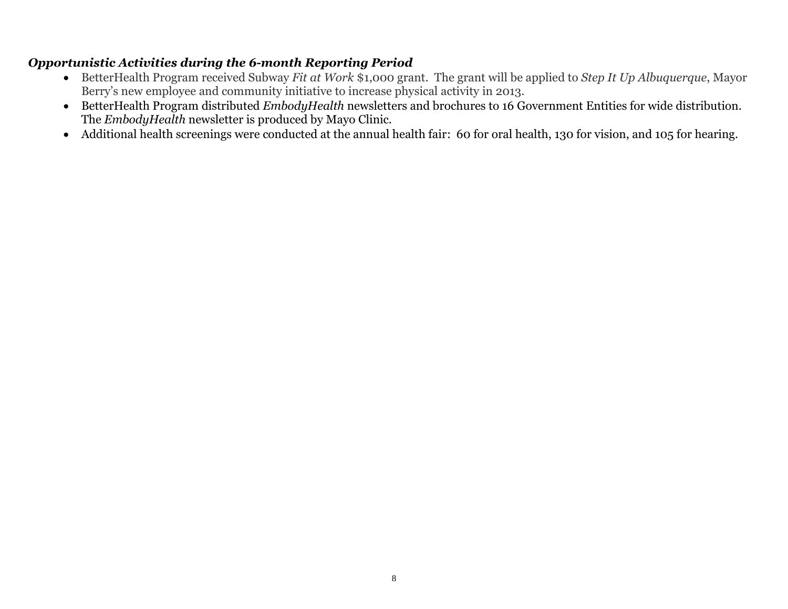## *Opportunistic Activities during the 6-month Reporting Period*

- BetterHealth Program received Subway *Fit at Work* \$1,000 grant. The grant will be applied to *Step It Up Albuquerque*, Mayor Berry's new employee and community initiative to increase physical activity in 2013.
- BetterHealth Program distributed *EmbodyHealth* newsletters and brochures to 16 Government Entities for wide distribution. The *EmbodyHealth* newsletter is produced by Mayo Clinic.
- Additional health screenings were conducted at the annual health fair: 60 for oral health, 130 for vision, and 105 for hearing.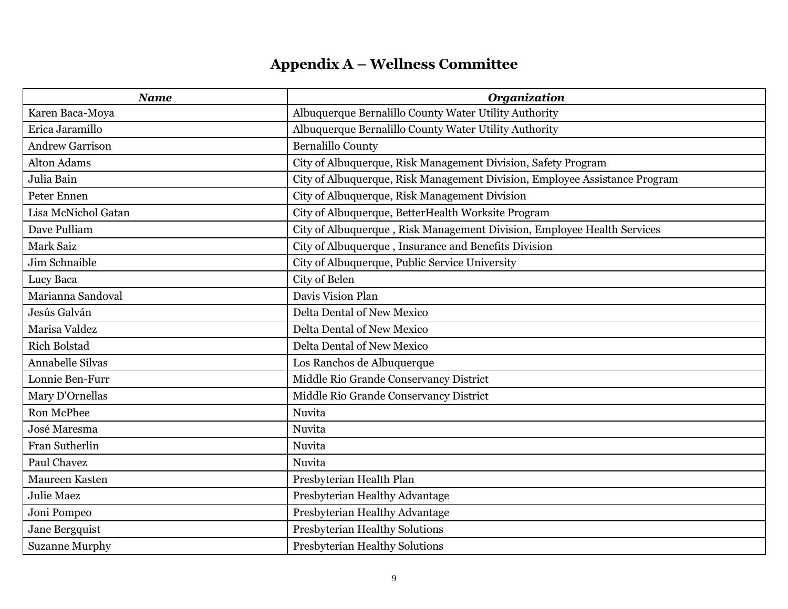## **Appendix A – Wellness Committee**

| <b>Name</b>             | <b>Organization</b>                                                        |
|-------------------------|----------------------------------------------------------------------------|
| Karen Baca-Moya         | Albuquerque Bernalillo County Water Utility Authority                      |
| Erica Jaramillo         | Albuquerque Bernalillo County Water Utility Authority                      |
| <b>Andrew Garrison</b>  | <b>Bernalillo County</b>                                                   |
| <b>Alton Adams</b>      | City of Albuquerque, Risk Management Division, Safety Program              |
| Julia Bain              | City of Albuquerque, Risk Management Division, Employee Assistance Program |
| Peter Ennen             | City of Albuquerque, Risk Management Division                              |
| Lisa McNichol Gatan     | City of Albuquerque, BetterHealth Worksite Program                         |
| Dave Pulliam            | City of Albuquerque, Risk Management Division, Employee Health Services    |
| <b>Mark Saiz</b>        | City of Albuquerque, Insurance and Benefits Division                       |
| Jim Schnaible           | City of Albuquerque, Public Service University                             |
| Lucy Baca               | City of Belen                                                              |
| Marianna Sandoval       | Davis Vision Plan                                                          |
| Jesús Galván            | <b>Delta Dental of New Mexico</b>                                          |
| Marisa Valdez           | <b>Delta Dental of New Mexico</b>                                          |
| <b>Rich Bolstad</b>     | <b>Delta Dental of New Mexico</b>                                          |
| <b>Annabelle Silvas</b> | Los Ranchos de Albuquerque                                                 |
| Lonnie Ben-Furr         | Middle Rio Grande Conservancy District                                     |
| Mary D'Ornellas         | Middle Rio Grande Conservancy District                                     |
| Ron McPhee              | Nuvita                                                                     |
| José Maresma            | Nuvita                                                                     |
| Fran Sutherlin          | Nuvita                                                                     |
| Paul Chavez             | Nuvita                                                                     |
| Maureen Kasten          | Presbyterian Health Plan                                                   |
| <b>Julie Maez</b>       | Presbyterian Healthy Advantage                                             |
| Joni Pompeo             | Presbyterian Healthy Advantage                                             |
| Jane Bergquist          | Presbyterian Healthy Solutions                                             |
| <b>Suzanne Murphy</b>   | Presbyterian Healthy Solutions                                             |